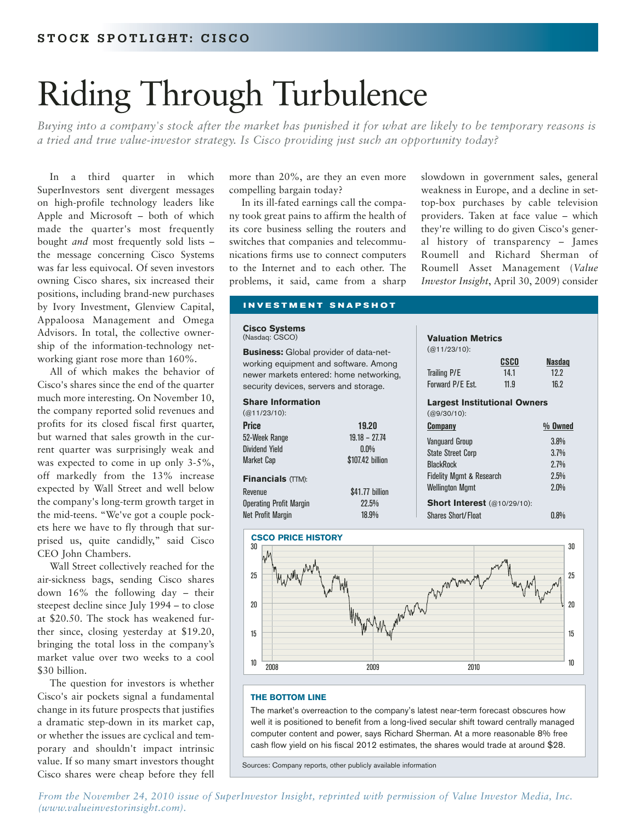# Riding Through Turbulence

*Buying into a company's stock after the market has punished it for what are likely to be temporary reasons is a tried and true value-investor strategy. Is Cisco providing just such an opportunity today?*

In a third quarter in which SuperInvestors sent divergent messages on high-profile technology leaders like Apple and Microsoft – both of which made the quarter's most frequently bought *and* most frequently sold lists – the message concerning Cisco Systems was far less equivocal. Of seven investors owning Cisco shares, six increased their positions, including brand-new purchases by Ivory Investment, Glenview Capital, Appaloosa Management and Omega Advisors. In total, the collective ownership of the information-technology networking giant rose more than 160%.

All of which makes the behavior of Cisco's shares since the end of the quarter much more interesting. On November 10, the company reported solid revenues and profits for its closed fiscal first quarter, but warned that sales growth in the current quarter was surprisingly weak and was expected to come in up only 3-5%, off markedly from the 13% increase expected by Wall Street and well below the company's long-term growth target in the mid-teens. "We've got a couple pockets here we have to fly through that surprised us, quite candidly," said Cisco CEO John Chambers.

Wall Street collectively reached for the air-sickness bags, sending Cisco shares down 16% the following day – their steepest decline since July 1994 – to close at \$20.50. The stock has weakened further since, closing yesterday at \$19.20, bringing the total loss in the company's market value over two weeks to a cool \$30 billion.

The question for investors is whether Cisco's air pockets signal a fundamental change in its future prospects that justifies a dramatic step-down in its market cap, or whether the issues are cyclical and temporary and shouldn't impact intrinsic value. If so many smart investors thought Cisco shares were cheap before they fell more than 20%, are they an even more compelling bargain today?

In its ill-fated earnings call the company took great pains to affirm the health of its core business selling the routers and switches that companies and telecommunications firms use to connect computers to the Internet and to each other. The problems, it said, came from a sharp slowdown in government sales, general weakness in Europe, and a decline in settop-box purchases by cable television providers. Taken at face value – which they're willing to do given Cisco's general history of transparency – James Roumell and Richard Sherman of Roumell Asset Management (*Value Investor Insight*, April 30, 2009) consider

#### **INVESTMENT SNAPSHOT**

#### **Cisco Systems** (Nasdaq: CSCO)

**Business:** Global provider of data-networking equipment and software. Among newer markets entered: home networking, security devices, servers and storage.

| <b>Share Information</b>       |                  |
|--------------------------------|------------------|
| $(Q(11/23/10))$ :              |                  |
| <b>Price</b>                   | 19.20            |
| 52-Week Range                  | $19.18 - 27.74$  |
| Dividend Yield                 | $0.0\%$          |
| Market Cap                     | \$107.42 billion |
| <b>Financials (TTM):</b>       |                  |
| Revenue                        | \$41.77 billion  |
| <b>Operating Profit Margin</b> | 22.5%            |
| Net Profit Margin              | 18.9%            |





#### **THE BOTTOM LINE**

The market's overreaction to the company's latest near-term forecast obscures how well it is positioned to benefit from a long-lived secular shift toward centrally managed computer content and power, says Richard Sherman. At a more reasonable 8% free cash flow yield on his fiscal 2012 estimates, the shares would trade at around \$28.

Sources: Company reports, other publicly available information

*[From the November 24, 2010 issue of SuperInvestor Insight, reprinted with permission of Value Investor Media, Inc.](http://www.valueinvestorinsight.com)  (www.valueinvestorinsight.com).*